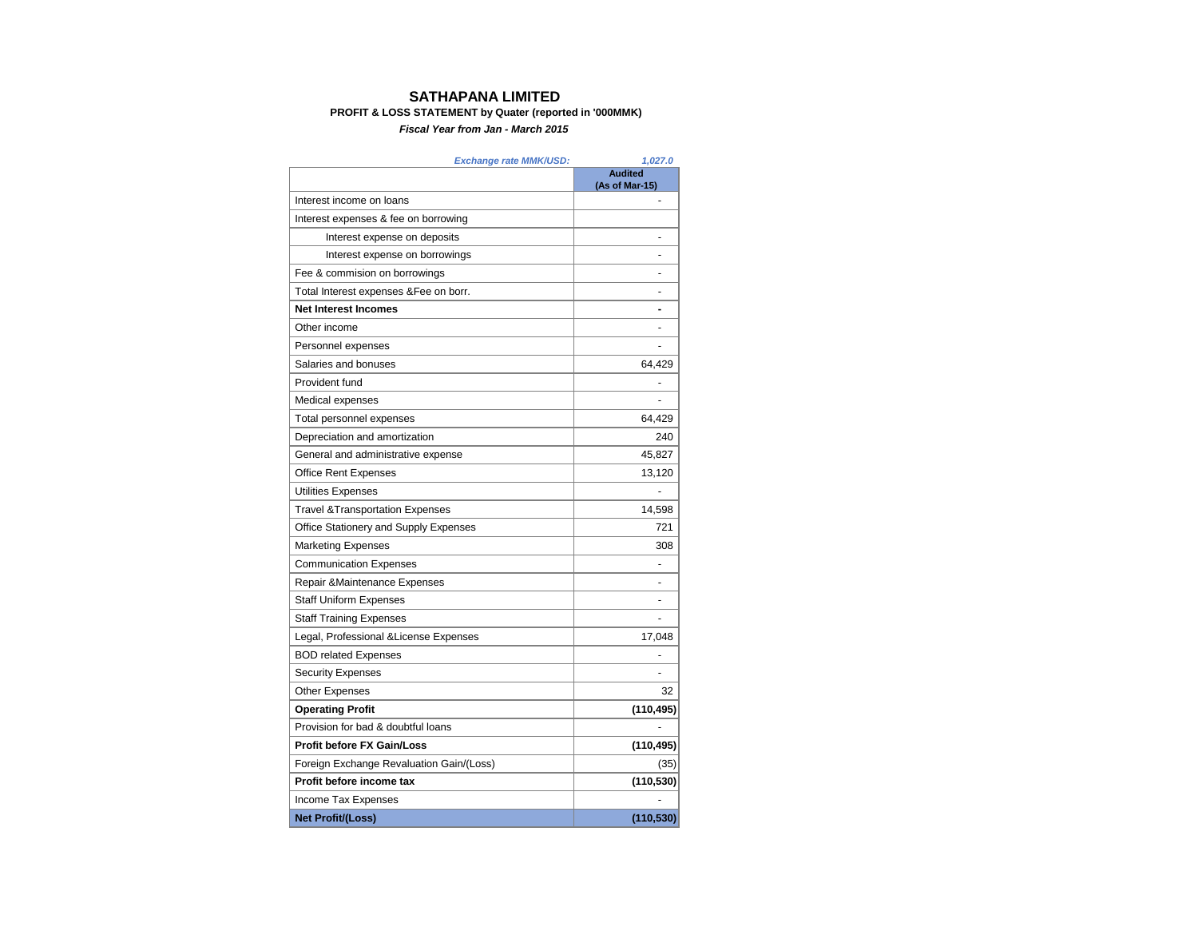## **SATHAPANA LIMITED**

## **PROFIT & LOSS STATEMENT by Quater (reported in '000MMK)**

*Fiscal Year from Jan - March 2015*

| Exchange rate MMK/USD:                      | 1,027.0                          |
|---------------------------------------------|----------------------------------|
|                                             | <b>Audited</b><br>(As of Mar-15) |
| Interest income on loans                    |                                  |
| Interest expenses & fee on borrowing        |                                  |
| Interest expense on deposits                |                                  |
| Interest expense on borrowings              |                                  |
| Fee & commision on borrowings               |                                  |
| Total Interest expenses & Fee on borr.      |                                  |
| <b>Net Interest Incomes</b>                 |                                  |
| Other income                                |                                  |
| Personnel expenses                          |                                  |
| Salaries and bonuses                        | 64,429                           |
| Provident fund                              |                                  |
| Medical expenses                            | L,                               |
| Total personnel expenses                    | 64,429                           |
| Depreciation and amortization               | 240                              |
| General and administrative expense          | 45,827                           |
| <b>Office Rent Expenses</b>                 | 13,120                           |
| Utilities Expenses                          |                                  |
| <b>Travel &amp; Transportation Expenses</b> | 14,598                           |
| Office Stationery and Supply Expenses       | 721                              |
| <b>Marketing Expenses</b>                   | 308                              |
| <b>Communication Expenses</b>               |                                  |
| Repair & Maintenance Expenses               |                                  |
| <b>Staff Uniform Expenses</b>               |                                  |
| <b>Staff Training Expenses</b>              |                                  |
| Legal, Professional & License Expenses      | 17,048                           |
| <b>BOD related Expenses</b>                 |                                  |
| <b>Security Expenses</b>                    |                                  |
| <b>Other Expenses</b>                       | 32                               |
| <b>Operating Profit</b>                     | (110, 495)                       |
| Provision for bad & doubtful loans          |                                  |
| <b>Profit before FX Gain/Loss</b>           | (110, 495)                       |
| Foreign Exchange Revaluation Gain/(Loss)    | (35)                             |
| Profit before income tax                    | (110, 530)                       |
| Income Tax Expenses                         |                                  |
| Net Profit/(Loss)                           | (110, 530)                       |